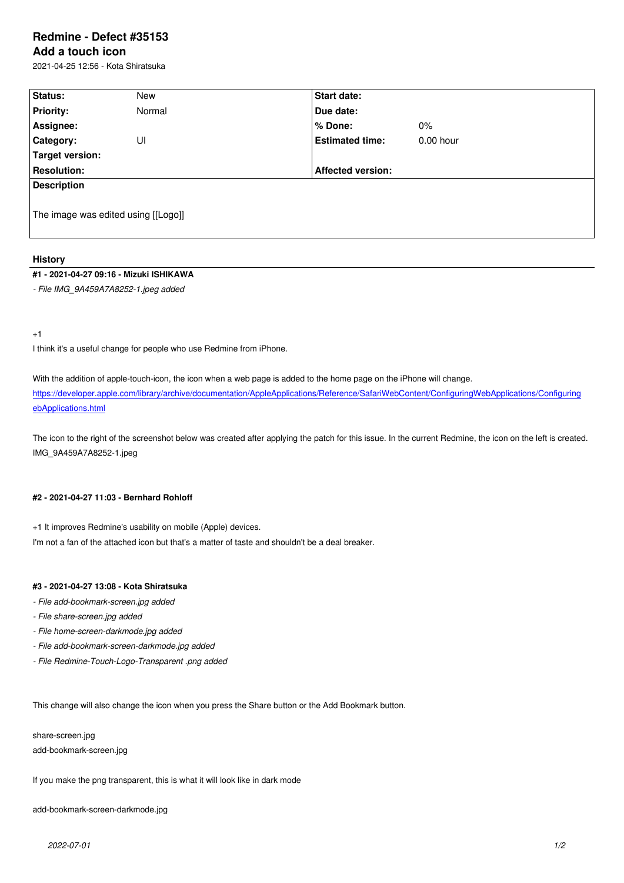#### **Add a touch icon**

2021-04-25 12:56 - Kota Shiratsuka

| Status:                             | New    | Start date:              |             |  |  |
|-------------------------------------|--------|--------------------------|-------------|--|--|
| <b>Priority:</b>                    | Normal | Due date:                |             |  |  |
| Assignee:                           |        | % Done:                  | $0\%$       |  |  |
| Category:                           | UI     | <b>Estimated time:</b>   | $0.00$ hour |  |  |
| Target version:                     |        |                          |             |  |  |
| <b>Resolution:</b>                  |        | <b>Affected version:</b> |             |  |  |
| <b>Description</b>                  |        |                          |             |  |  |
| The image was edited using [[Logo]] |        |                          |             |  |  |

# **History**

### **#1 - 2021-04-27 09:16 - Mizuki ISHIKAWA**

*- File IMG\_9A459A7A8252-1.jpeg added*

+1

I think it's a useful change for people who use Redmine from iPhone.

With the addition of apple-touch-icon, the icon when a web page is added to the home page on the iPhone will change. https://developer.apple.com/library/archive/documentation/AppleApplications/Reference/SafariWebContent/ConfiguringWebApplications/Configuring ebApplications.html

[The icon to the right of the screenshot below was created after applying the patch for this issue. In the current Redmine, the icon on the left is created](https://developer.apple.com/library/archive/documentation/AppleApplications/Reference/SafariWebContent/ConfiguringWebApplications/ConfiguringWebApplications.html). [IMG\\_9A459A7A825](https://developer.apple.com/library/archive/documentation/AppleApplications/Reference/SafariWebContent/ConfiguringWebApplications/ConfiguringWebApplications.html)2-1.jpeg

# **#2 - 2021-04-27 11:03 - Bernhard Rohloff**

+1 It improves Redmine's usability on mobile (Apple) devices. I'm not a fan of the attached icon but that's a matter of taste and shouldn't be a deal breaker.

#### **#3 - 2021-04-27 13:08 - Kota Shiratsuka**

- *File add-bookmark-screen.jpg added*
- *File share-screen.jpg added*
- *File home-screen-darkmode.jpg added*
- *File add-bookmark-screen-darkmode.jpg added*
- *File Redmine-Touch-Logo-Transparent .png added*

This change will also change the icon when you press the Share button or the Add Bookmark button.

share-screen.jpg add-bookmark-screen.jpg

If you make the png transparent, this is what it will look like in dark mode

add-bookmark-screen-darkmode.jpg